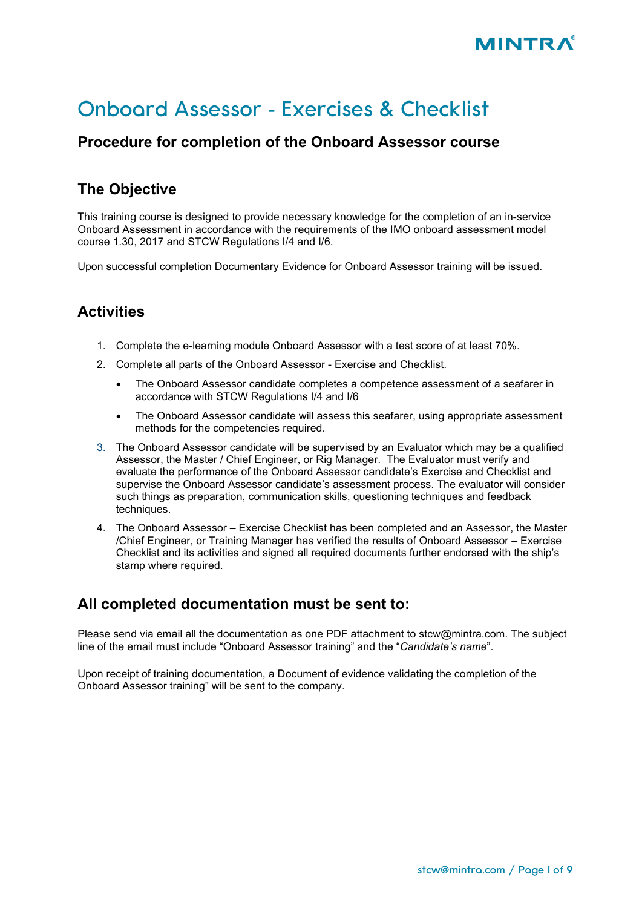# Onboard Assessor - Exercises & Checklist

#### **Procedure for completion of the Onboard Assessor course**

### **The Objective**

This training course is designed to provide necessary knowledge for the completion of an in-service Onboard Assessment in accordance with the requirements of the IMO onboard assessment model course 1.30, 2017 and STCW Regulations I/4 and I/6.

Upon successful completion Documentary Evidence for Onboard Assessor training will be issued.

### **Activities**

- 1. Complete the e-learning module Onboard Assessor with a test score of at least 70%.
- 2. Complete all parts of the Onboard Assessor Exercise and Checklist.
	- The Onboard Assessor candidate completes a competence assessment of a seafarer in accordance with STCW Regulations I/4 and I/6
	- The Onboard Assessor candidate will assess this seafarer, using appropriate assessment methods for the competencies required.
- 3. The Onboard Assessor candidate will be supervised by an Evaluator which may be a qualified Assessor, the Master / Chief Engineer, or Rig Manager. The Evaluator must verify and evaluate the performance of the Onboard Assessor candidate's Exercise and Checklist and supervise the Onboard Assessor candidate's assessment process. The evaluator will consider such things as preparation, communication skills, questioning techniques and feedback techniques.
- 4. The Onboard Assessor Exercise Checklist has been completed and an Assessor, the Master /Chief Engineer, or Training Manager has verified the results of Onboard Assessor – Exercise Checklist and its activities and signed all required documents further endorsed with the ship's stamp where required.

#### **All completed documentation must be sent to:**

Please send via email all the documentation as one PDF attachment to stcw@mintra.com. The subject line of the email must include "Onboard Assessor training" and the "*Candidate's name*".

Upon receipt of training documentation, a Document of evidence validating the completion of the Onboard Assessor training" will be sent to the company.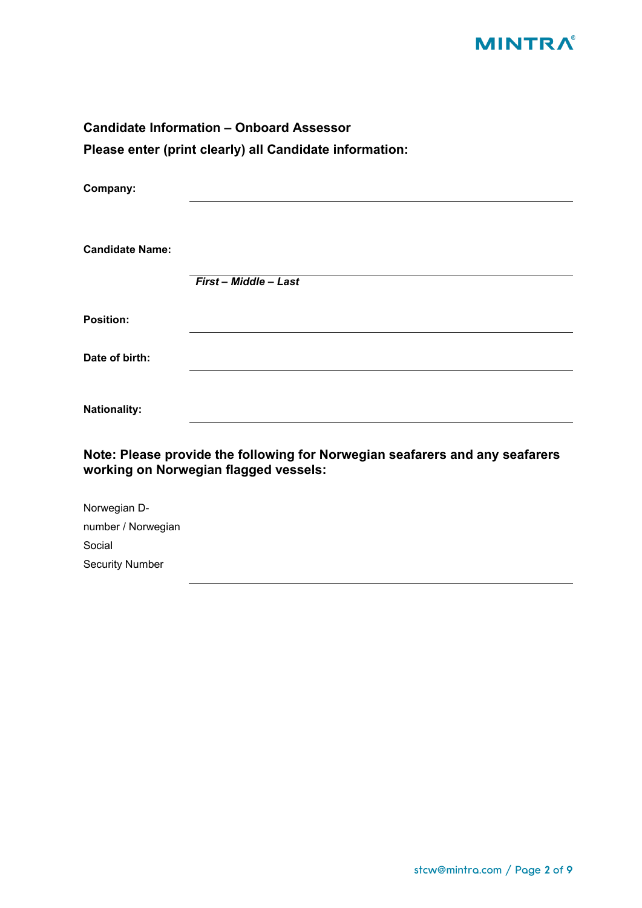

| <b>Candidate Information - Onboard Assessor</b>                                                                       |                       |  |  |
|-----------------------------------------------------------------------------------------------------------------------|-----------------------|--|--|
| Please enter (print clearly) all Candidate information:                                                               |                       |  |  |
|                                                                                                                       |                       |  |  |
| Company:                                                                                                              |                       |  |  |
|                                                                                                                       |                       |  |  |
|                                                                                                                       |                       |  |  |
| <b>Candidate Name:</b>                                                                                                |                       |  |  |
|                                                                                                                       | First - Middle - Last |  |  |
|                                                                                                                       |                       |  |  |
| <b>Position:</b>                                                                                                      |                       |  |  |
| Date of birth:                                                                                                        |                       |  |  |
|                                                                                                                       |                       |  |  |
|                                                                                                                       |                       |  |  |
| <b>Nationality:</b>                                                                                                   |                       |  |  |
|                                                                                                                       |                       |  |  |
| Note: Please provide the following for Norwegian seafarers and any seafarers<br>working on Norwegian flagged vessels: |                       |  |  |
|                                                                                                                       |                       |  |  |
| Norwegian D-                                                                                                          |                       |  |  |
| number / Norwegian                                                                                                    |                       |  |  |
| Social                                                                                                                |                       |  |  |
| <b>Security Number</b>                                                                                                |                       |  |  |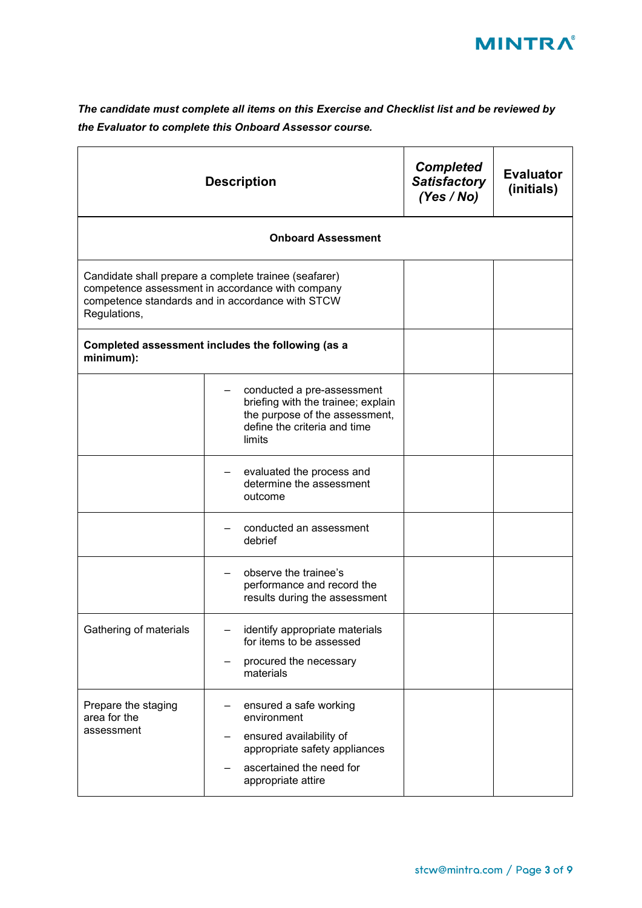

*The candidate must complete all items on this Exercise and Checklist list and be reviewed by the Evaluator to complete this Onboard Assessor course.* 

| <b>Description</b>                                                                                                                                                            |                                                                                                                                                     | <b>Completed</b><br><b>Satisfactory</b><br>(Yes / No) | <b>Evaluator</b><br>(initials) |
|-------------------------------------------------------------------------------------------------------------------------------------------------------------------------------|-----------------------------------------------------------------------------------------------------------------------------------------------------|-------------------------------------------------------|--------------------------------|
|                                                                                                                                                                               | <b>Onboard Assessment</b>                                                                                                                           |                                                       |                                |
| Candidate shall prepare a complete trainee (seafarer)<br>competence assessment in accordance with company<br>competence standards and in accordance with STCW<br>Regulations, |                                                                                                                                                     |                                                       |                                |
| minimum):                                                                                                                                                                     | Completed assessment includes the following (as a                                                                                                   |                                                       |                                |
|                                                                                                                                                                               | conducted a pre-assessment<br>briefing with the trainee; explain<br>the purpose of the assessment,<br>define the criteria and time<br>limits        |                                                       |                                |
|                                                                                                                                                                               | evaluated the process and<br>determine the assessment<br>outcome                                                                                    |                                                       |                                |
|                                                                                                                                                                               | conducted an assessment<br>debrief                                                                                                                  |                                                       |                                |
|                                                                                                                                                                               | observe the trainee's<br>performance and record the<br>results during the assessment                                                                |                                                       |                                |
| Gathering of materials                                                                                                                                                        | identify appropriate materials<br>for items to be assessed<br>procured the necessary<br>materials                                                   |                                                       |                                |
| Prepare the staging<br>area for the<br>assessment                                                                                                                             | ensured a safe working<br>environment<br>ensured availability of<br>appropriate safety appliances<br>ascertained the need for<br>appropriate attire |                                                       |                                |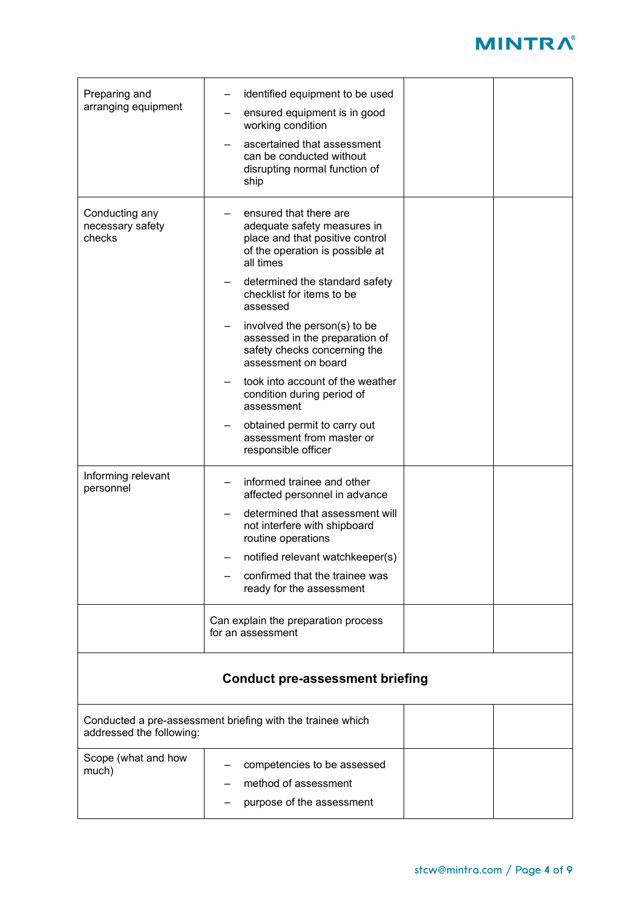| Preparing and<br>arranging equipment         | identified equipment to be used<br>ensured equipment is in good<br>working condition<br>ascertained that assessment<br>can be conducted without<br>disrupting normal function of<br>ship                                                               |  |  |
|----------------------------------------------|--------------------------------------------------------------------------------------------------------------------------------------------------------------------------------------------------------------------------------------------------------|--|--|
| Conducting any<br>necessary safety<br>checks | ensured that there are<br>adequate safety measures in<br>place and that positive control<br>of the operation is possible at<br>all times<br>determined the standard safety<br>checklist for items to be<br>assessed<br>involved the person(s) to be    |  |  |
|                                              | assessed in the preparation of<br>safety checks concerning the<br>assessment on board<br>took into account of the weather<br>condition during period of<br>assessment                                                                                  |  |  |
|                                              | obtained permit to carry out<br>assessment from master or<br>responsible officer                                                                                                                                                                       |  |  |
| Informing relevant<br>personnel              | informed trainee and other<br>affected personnel in advance<br>determined that assessment will<br>not interfere with shipboard<br>routine operations<br>notified relevant watchkeeper(s)<br>confirmed that the trainee was<br>ready for the assessment |  |  |
|                                              | Can explain the preparation process<br>for an assessment                                                                                                                                                                                               |  |  |
| <b>Conduct pre-assessment briefing</b>       |                                                                                                                                                                                                                                                        |  |  |
| addressed the following:                     | Conducted a pre-assessment briefing with the trainee which                                                                                                                                                                                             |  |  |
| Scope (what and how<br>much)                 | competencies to be assessed<br>method of assessment<br>purpose of the assessment                                                                                                                                                                       |  |  |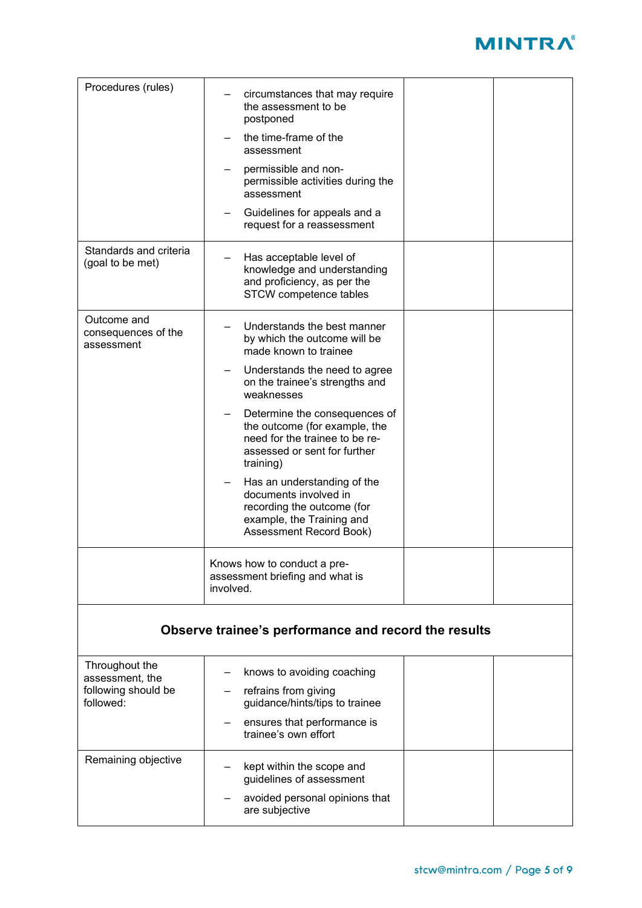| Procedures (rules)                                   | circumstances that may require<br>the assessment to be<br>postponed                                                                               |  |  |
|------------------------------------------------------|---------------------------------------------------------------------------------------------------------------------------------------------------|--|--|
|                                                      | the time-frame of the<br>assessment                                                                                                               |  |  |
|                                                      | permissible and non-<br>permissible activities during the<br>assessment                                                                           |  |  |
|                                                      | Guidelines for appeals and a<br>request for a reassessment                                                                                        |  |  |
| Standards and criteria<br>(goal to be met)           | Has acceptable level of<br>knowledge and understanding<br>and proficiency, as per the<br>STCW competence tables                                   |  |  |
| Outcome and<br>consequences of the<br>assessment     | Understands the best manner<br>by which the outcome will be<br>made known to trainee                                                              |  |  |
|                                                      | Understands the need to agree<br>on the trainee's strengths and<br>weaknesses                                                                     |  |  |
|                                                      | Determine the consequences of<br>the outcome (for example, the<br>need for the trainee to be re-<br>assessed or sent for further<br>training)     |  |  |
|                                                      | Has an understanding of the<br>documents involved in<br>recording the outcome (for<br>example, the Training and<br><b>Assessment Record Book)</b> |  |  |
|                                                      | Knows how to conduct a pre-<br>assessment briefing and what is<br>involved.                                                                       |  |  |
| Observe trainee's performance and record the results |                                                                                                                                                   |  |  |
| Throughout the<br>assessment, the                    | knows to avoiding coaching                                                                                                                        |  |  |
| following should be<br>followed:                     | refrains from giving<br>guidance/hints/tips to trainee                                                                                            |  |  |
|                                                      | ensures that performance is<br>trainee's own effort                                                                                               |  |  |
|                                                      |                                                                                                                                                   |  |  |

Remaining objective **Fig. 2** - kept within the scope and

guidelines of assessment – avoided personal opinions that

are subjective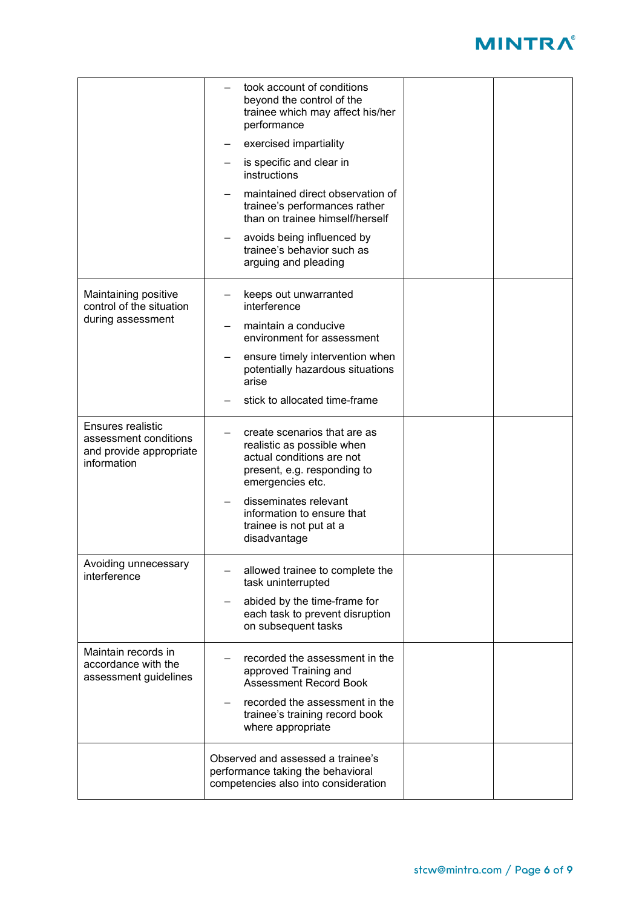|                                                                                             | took account of conditions<br>beyond the control of the<br>trainee which may affect his/her<br>performance                                 |  |
|---------------------------------------------------------------------------------------------|--------------------------------------------------------------------------------------------------------------------------------------------|--|
|                                                                                             | exercised impartiality                                                                                                                     |  |
|                                                                                             | is specific and clear in<br>instructions                                                                                                   |  |
|                                                                                             | maintained direct observation of<br>trainee's performances rather<br>than on trainee himself/herself                                       |  |
|                                                                                             | avoids being influenced by<br>trainee's behavior such as<br>arguing and pleading                                                           |  |
| Maintaining positive<br>control of the situation                                            | keeps out unwarranted<br>interference                                                                                                      |  |
| during assessment                                                                           | maintain a conducive<br>environment for assessment                                                                                         |  |
|                                                                                             | ensure timely intervention when<br>potentially hazardous situations<br>arise                                                               |  |
|                                                                                             | stick to allocated time-frame                                                                                                              |  |
| <b>Ensures realistic</b><br>assessment conditions<br>and provide appropriate<br>information | create scenarios that are as<br>realistic as possible when<br>actual conditions are not<br>present, e.g. responding to<br>emergencies etc. |  |
|                                                                                             | disseminates relevant<br>information to ensure that<br>trainee is not put at a<br>disadvantage                                             |  |
| Avoiding unnecessary<br>interference                                                        | allowed trainee to complete the<br>task uninterrupted                                                                                      |  |
|                                                                                             | abided by the time-frame for<br>$\qquad \qquad \qquad$<br>each task to prevent disruption<br>on subsequent tasks                           |  |
| Maintain records in<br>accordance with the<br>assessment guidelines                         | recorded the assessment in the<br>approved Training and<br><b>Assessment Record Book</b>                                                   |  |
|                                                                                             | recorded the assessment in the<br>trainee's training record book<br>where appropriate                                                      |  |
|                                                                                             | Observed and assessed a trainee's<br>performance taking the behavioral<br>competencies also into consideration                             |  |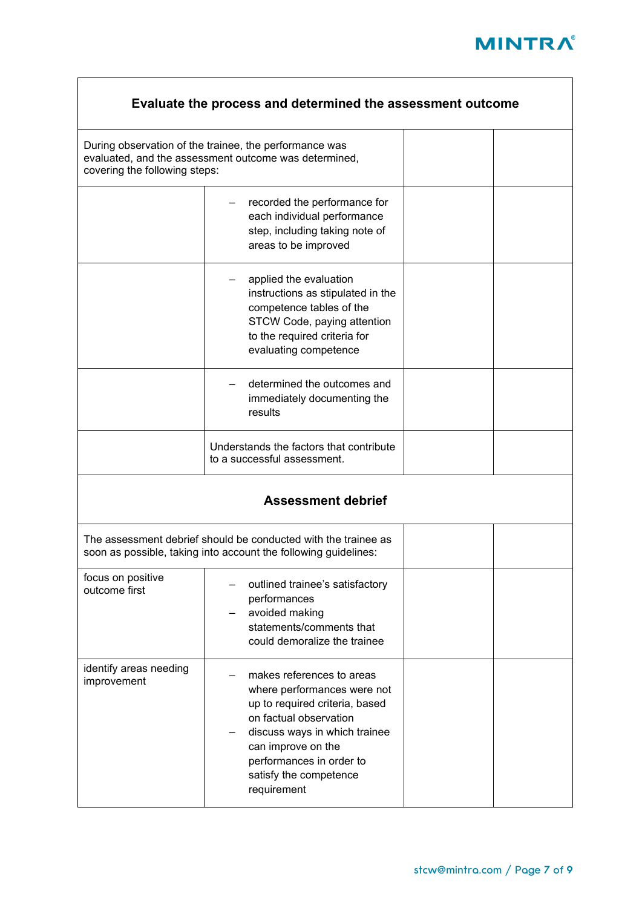

| Evaluate the process and determined the assessment outcome |                                                                                                                                                                                                                                                  |  |  |
|------------------------------------------------------------|--------------------------------------------------------------------------------------------------------------------------------------------------------------------------------------------------------------------------------------------------|--|--|
| covering the following steps:                              | During observation of the trainee, the performance was<br>evaluated, and the assessment outcome was determined,                                                                                                                                  |  |  |
|                                                            | recorded the performance for<br>each individual performance<br>step, including taking note of<br>areas to be improved                                                                                                                            |  |  |
|                                                            | applied the evaluation<br>instructions as stipulated in the<br>competence tables of the<br>STCW Code, paying attention<br>to the required criteria for<br>evaluating competence                                                                  |  |  |
|                                                            | determined the outcomes and<br>immediately documenting the<br>results                                                                                                                                                                            |  |  |
|                                                            | Understands the factors that contribute<br>to a successful assessment.                                                                                                                                                                           |  |  |
|                                                            | <b>Assessment debrief</b>                                                                                                                                                                                                                        |  |  |
|                                                            | The assessment debrief should be conducted with the trainee as<br>soon as possible, taking into account the following guidelines:                                                                                                                |  |  |
| focus on positive<br>outcome first                         | outlined trainee's satisfactory<br>performances<br>avoided making<br>statements/comments that<br>could demoralize the trainee                                                                                                                    |  |  |
| identify areas needing<br>improvement                      | makes references to areas<br>where performances were not<br>up to required criteria, based<br>on factual observation<br>discuss ways in which trainee<br>can improve on the<br>performances in order to<br>satisfy the competence<br>requirement |  |  |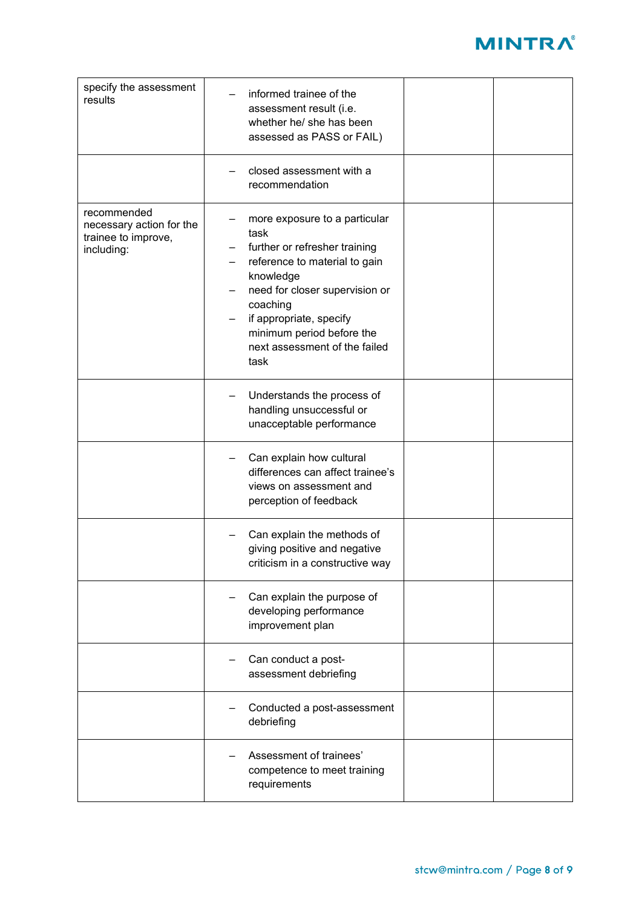| specify the assessment<br>results                                            | informed trainee of the<br>assessment result (i.e.<br>whether he/ she has been<br>assessed as PASS or FAIL)                                                                                                                                                                               |  |
|------------------------------------------------------------------------------|-------------------------------------------------------------------------------------------------------------------------------------------------------------------------------------------------------------------------------------------------------------------------------------------|--|
|                                                                              | closed assessment with a<br>recommendation                                                                                                                                                                                                                                                |  |
| recommended<br>necessary action for the<br>trainee to improve,<br>including: | more exposure to a particular<br>task<br>further or refresher training<br>$-$<br>reference to material to gain<br>$\sim$<br>knowledge<br>need for closer supervision or<br>-<br>coaching<br>if appropriate, specify<br>minimum period before the<br>next assessment of the failed<br>task |  |
|                                                                              | Understands the process of<br>handling unsuccessful or<br>unacceptable performance                                                                                                                                                                                                        |  |
|                                                                              | Can explain how cultural<br>differences can affect trainee's<br>views on assessment and<br>perception of feedback                                                                                                                                                                         |  |
|                                                                              | Can explain the methods of<br>giving positive and negative<br>criticism in a constructive way                                                                                                                                                                                             |  |
|                                                                              | Can explain the purpose of<br>developing performance<br>improvement plan                                                                                                                                                                                                                  |  |
|                                                                              | Can conduct a post-<br>assessment debriefing                                                                                                                                                                                                                                              |  |
|                                                                              | Conducted a post-assessment<br>debriefing                                                                                                                                                                                                                                                 |  |
|                                                                              | Assessment of trainees'<br>competence to meet training<br>requirements                                                                                                                                                                                                                    |  |